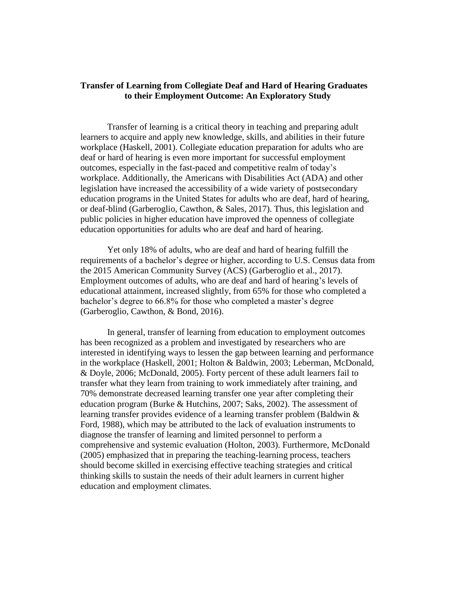## **Transfer of Learning from Collegiate Deaf and Hard of Hearing Graduates to their Employment Outcome: An Exploratory Study**

Transfer of learning is a critical theory in teaching and preparing adult learners to acquire and apply new knowledge, skills, and abilities in their future workplace (Haskell, 2001). Collegiate education preparation for adults who are deaf or hard of hearing is even more important for successful employment outcomes, especially in the fast-paced and competitive realm of today's workplace. Additionally, the Americans with Disabilities Act (ADA) and other legislation have increased the accessibility of a wide variety of postsecondary education programs in the United States for adults who are deaf, hard of hearing, or deaf-blind (Garberoglio, Cawthon, & Sales, 2017). Thus, this legislation and public policies in higher education have improved the openness of collegiate education opportunities for adults who are deaf and hard of hearing.

Yet only 18% of adults, who are deaf and hard of hearing fulfill the requirements of a bachelor's degree or higher, according to U.S. Census data from the 2015 American Community Survey (ACS) (Garberoglio et al., 2017). Employment outcomes of adults, who are deaf and hard of hearing's levels of educational attainment, increased slightly, from 65% for those who completed a bachelor's degree to 66.8% for those who completed a master's degree (Garberoglio, Cawthon, & Bond, 2016).

In general, transfer of learning from education to employment outcomes has been recognized as a problem and investigated by researchers who are interested in identifying ways to lessen the gap between learning and performance in the workplace (Haskell, 2001; Holton & Baldwin, 2003; Leberman, McDonald, & Doyle, 2006; McDonald, 2005). Forty percent of these adult learners fail to transfer what they learn from training to work immediately after training, and 70% demonstrate decreased learning transfer one year after completing their education program (Burke & Hutchins, 2007; Saks, 2002). The assessment of learning transfer provides evidence of a learning transfer problem (Baldwin & Ford, 1988), which may be attributed to the lack of evaluation instruments to diagnose the transfer of learning and limited personnel to perform a comprehensive and systemic evaluation (Holton, 2003). Furthermore, McDonald (2005) emphasized that in preparing the teaching-learning process, teachers should become skilled in exercising effective teaching strategies and critical thinking skills to sustain the needs of their adult learners in current higher education and employment climates.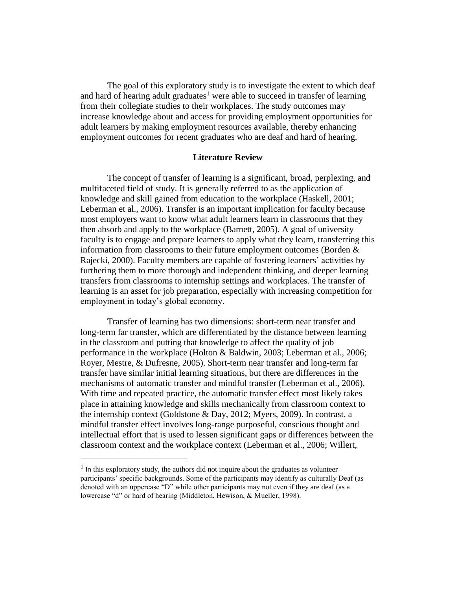The goal of this exploratory study is to investigate the extent to which deaf and hard of hearing adult graduates<sup>1</sup> were able to succeed in transfer of learning from their collegiate studies to their workplaces. The study outcomes may increase knowledge about and access for providing employment opportunities for adult learners by making employment resources available, thereby enhancing employment outcomes for recent graduates who are deaf and hard of hearing.

### **Literature Review**

The concept of transfer of learning is a significant, broad, perplexing, and multifaceted field of study. It is generally referred to as the application of knowledge and skill gained from education to the workplace (Haskell, 2001; Leberman et al., 2006). Transfer is an important implication for faculty because most employers want to know what adult learners learn in classrooms that they then absorb and apply to the workplace (Barnett, 2005). A goal of university faculty is to engage and prepare learners to apply what they learn, transferring this information from classrooms to their future employment outcomes (Borden & Rajecki, 2000). Faculty members are capable of fostering learners' activities by furthering them to more thorough and independent thinking, and deeper learning transfers from classrooms to internship settings and workplaces. The transfer of learning is an asset for job preparation, especially with increasing competition for employment in today's global economy.

Transfer of learning has two dimensions: short-term near transfer and long-term far transfer, which are differentiated by the distance between learning in the classroom and putting that knowledge to affect the quality of job performance in the workplace (Holton & Baldwin, 2003; Leberman et al., 2006; Royer, Mestre, & Dufresne, 2005). Short-term near transfer and long-term far transfer have similar initial learning situations, but there are differences in the mechanisms of automatic transfer and mindful transfer (Leberman et al., 2006). With time and repeated practice, the automatic transfer effect most likely takes place in attaining knowledge and skills mechanically from classroom context to the internship context (Goldstone & Day, 2012; Myers, 2009). In contrast, a mindful transfer effect involves long-range purposeful, conscious thought and intellectual effort that is used to lessen significant gaps or differences between the classroom context and the workplace context (Leberman et al., 2006; Willert,

 $\overline{a}$ 

<sup>&</sup>lt;sup>1</sup> In this exploratory study, the authors did not inquire about the graduates as volunteer participants' specific backgrounds. Some of the participants may identify as culturally Deaf (as denoted with an uppercase "D" while other participants may not even if they are deaf (as a lowercase "d" or hard of hearing (Middleton, Hewison, & Mueller, 1998).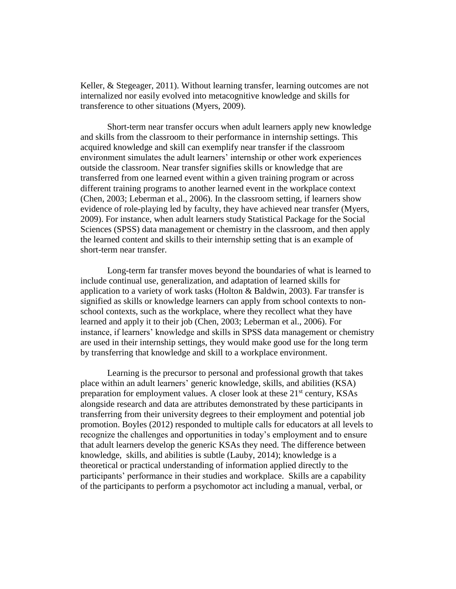Keller, & Stegeager, 2011). Without learning transfer, learning outcomes are not internalized nor easily evolved into metacognitive knowledge and skills for transference to other situations (Myers, 2009).

Short-term near transfer occurs when adult learners apply new knowledge and skills from the classroom to their performance in internship settings. This acquired knowledge and skill can exemplify near transfer if the classroom environment simulates the adult learners' internship or other work experiences outside the classroom. Near transfer signifies skills or knowledge that are transferred from one learned event within a given training program or across different training programs to another learned event in the workplace context (Chen, 2003; Leberman et al., 2006). In the classroom setting, if learners show evidence of role-playing led by faculty, they have achieved near transfer (Myers, 2009). For instance, when adult learners study Statistical Package for the Social Sciences (SPSS) data management or chemistry in the classroom, and then apply the learned content and skills to their internship setting that is an example of short-term near transfer.

Long-term far transfer moves beyond the boundaries of what is learned to include continual use, generalization, and adaptation of learned skills for application to a variety of work tasks (Holton & Baldwin, 2003). Far transfer is signified as skills or knowledge learners can apply from school contexts to nonschool contexts, such as the workplace, where they recollect what they have learned and apply it to their job (Chen, 2003; Leberman et al., 2006). For instance, if learners' knowledge and skills in SPSS data management or chemistry are used in their internship settings, they would make good use for the long term by transferring that knowledge and skill to a workplace environment.

Learning is the precursor to personal and professional growth that takes place within an adult learners' generic knowledge, skills, and abilities (KSA) preparation for employment values. A closer look at these  $21<sup>st</sup>$  century, KSAs alongside research and data are attributes demonstrated by these participants in transferring from their university degrees to their employment and potential job promotion. Boyles (2012) responded to multiple calls for educators at all levels to recognize the challenges and opportunities in today's employment and to ensure that adult learners develop the generic KSAs they need. The difference between knowledge, skills, and abilities is subtle (Lauby, 2014); knowledge is a theoretical or practical understanding of information applied directly to the participants' performance in their studies and workplace. Skills are a capability of the participants to perform a psychomotor act including a manual, verbal, or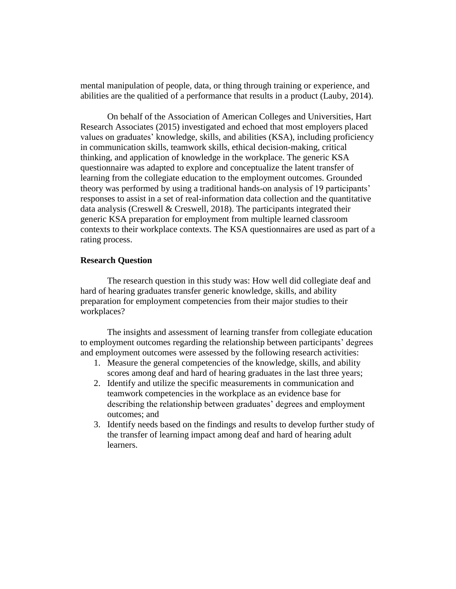mental manipulation of people, data, or thing through training or experience, and abilities are the qualitied of a performance that results in a product (Lauby, 2014).

On behalf of the Association of American Colleges and Universities, Hart Research Associates (2015) investigated and echoed that most employers placed values on graduates' knowledge, skills, and abilities (KSA), including proficiency in communication skills, teamwork skills, ethical decision-making, critical thinking, and application of knowledge in the workplace. The generic KSA questionnaire was adapted to explore and conceptualize the latent transfer of learning from the collegiate education to the employment outcomes. Grounded theory was performed by using a traditional hands-on analysis of 19 participants' responses to assist in a set of real-information data collection and the quantitative data analysis (Creswell & Creswell, 2018). The participants integrated their generic KSA preparation for employment from multiple learned classroom contexts to their workplace contexts. The KSA questionnaires are used as part of a rating process.

### **Research Question**

The research question in this study was: How well did collegiate deaf and hard of hearing graduates transfer generic knowledge, skills, and ability preparation for employment competencies from their major studies to their workplaces?

The insights and assessment of learning transfer from collegiate education to employment outcomes regarding the relationship between participants' degrees and employment outcomes were assessed by the following research activities:

- 1. Measure the general competencies of the knowledge, skills, and ability scores among deaf and hard of hearing graduates in the last three years;
- 2. Identify and utilize the specific measurements in communication and teamwork competencies in the workplace as an evidence base for describing the relationship between graduates' degrees and employment outcomes; and
- 3. Identify needs based on the findings and results to develop further study of the transfer of learning impact among deaf and hard of hearing adult learners.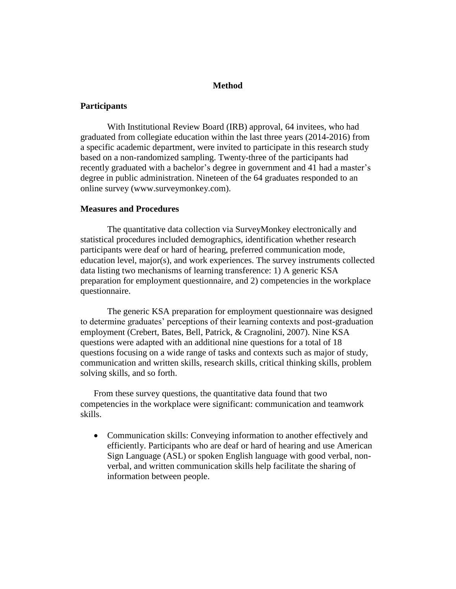## **Method**

### **Participants**

With Institutional Review Board (IRB) approval, 64 invitees, who had graduated from collegiate education within the last three years (2014-2016) from a specific academic department, were invited to participate in this research study based on a non-randomized sampling. Twenty-three of the participants had recently graduated with a bachelor's degree in government and 41 had a master's degree in public administration. Nineteen of the 64 graduates responded to an online survey (www.surveymonkey.com).

## **Measures and Procedures**

The quantitative data collection via SurveyMonkey electronically and statistical procedures included demographics, identification whether research participants were deaf or hard of hearing, preferred communication mode, education level, major(s), and work experiences. The survey instruments collected data listing two mechanisms of learning transference: 1) A generic KSA preparation for employment questionnaire, and 2) competencies in the workplace questionnaire.

The generic KSA preparation for employment questionnaire was designed to determine graduates' perceptions of their learning contexts and post-graduation employment (Crebert, Bates, Bell, Patrick, & Cragnolini, 2007). Nine KSA questions were adapted with an additional nine questions for a total of 18 questions focusing on a wide range of tasks and contexts such as major of study, communication and written skills, research skills, critical thinking skills, problem solving skills, and so forth.

From these survey questions, the quantitative data found that two competencies in the workplace were significant: communication and teamwork skills.

• Communication skills: Conveying information to another effectively and efficiently. Participants who are deaf or hard of hearing and use American Sign Language (ASL) or spoken English language with good verbal, nonverbal, and written communication skills help facilitate the sharing of information between people.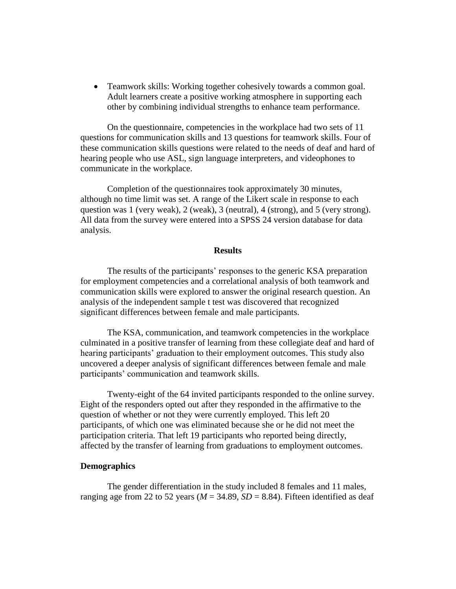• Teamwork skills: Working together cohesively towards a common goal. Adult learners create a positive working atmosphere in supporting each other by combining individual strengths to enhance team performance.

On the questionnaire, competencies in the workplace had two sets of 11 questions for communication skills and 13 questions for teamwork skills. Four of these communication skills questions were related to the needs of deaf and hard of hearing people who use ASL, sign language interpreters, and videophones to communicate in the workplace.

Completion of the questionnaires took approximately 30 minutes, although no time limit was set. A range of the Likert scale in response to each question was 1 (very weak), 2 (weak), 3 (neutral), 4 (strong), and 5 (very strong). All data from the survey were entered into a SPSS 24 version database for data analysis.

### **Results**

The results of the participants' responses to the generic KSA preparation for employment competencies and a correlational analysis of both teamwork and communication skills were explored to answer the original research question. An analysis of the independent sample t test was discovered that recognized significant differences between female and male participants.

The KSA, communication, and teamwork competencies in the workplace culminated in a positive transfer of learning from these collegiate deaf and hard of hearing participants' graduation to their employment outcomes. This study also uncovered a deeper analysis of significant differences between female and male participants' communication and teamwork skills.

Twenty-eight of the 64 invited participants responded to the online survey. Eight of the responders opted out after they responded in the affirmative to the question of whether or not they were currently employed. This left 20 participants, of which one was eliminated because she or he did not meet the participation criteria. That left 19 participants who reported being directly, affected by the transfer of learning from graduations to employment outcomes.

## **Demographics**

The gender differentiation in the study included 8 females and 11 males, ranging age from 22 to 52 years ( $M = 34.89$ ,  $SD = 8.84$ ). Fifteen identified as deaf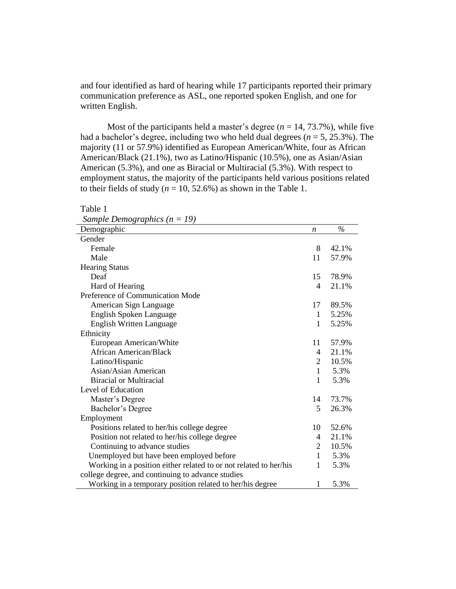and four identified as hard of hearing while 17 participants reported their primary communication preference as ASL, one reported spoken English, and one for written English.

Most of the participants held a master's degree  $(n = 14, 73.7\%)$ , while five had a bachelor's degree, including two who held dual degrees (*n* = 5, 25.3%). The majority (11 or 57.9%) identified as European American/White, four as African American/Black (21.1%), two as Latino/Hispanic (10.5%), one as Asian/Asian American (5.3%), and one as Biracial or Multiracial (5.3%). With respect to employment status, the majority of the participants held various positions related to their fields of study ( $n = 10, 52.6\%$ ) as shown in the Table 1.

| Sample Demographics $(n = 19)$                                    |                          |       |
|-------------------------------------------------------------------|--------------------------|-------|
| Demographic                                                       | n                        | $\%$  |
| Gender                                                            |                          |       |
| Female                                                            | 8                        | 42.1% |
| Male                                                              | 11                       | 57.9% |
| <b>Hearing Status</b>                                             |                          |       |
| Deaf                                                              | 15                       | 78.9% |
| Hard of Hearing                                                   | $\overline{\mathcal{A}}$ | 21.1% |
| Preference of Communication Mode                                  |                          |       |
| American Sign Language                                            | 17                       | 89.5% |
| English Spoken Language                                           | 1                        | 5.25% |
| <b>English Written Language</b>                                   | 1                        | 5.25% |
| Ethnicity                                                         |                          |       |
| European American/White                                           | 11                       | 57.9% |
| <b>African American/Black</b>                                     | 4                        | 21.1% |
| Latino/Hispanic                                                   | 2                        | 10.5% |
| Asian/Asian American                                              | 1                        | 5.3%  |
| <b>Biracial or Multiracial</b>                                    | 1                        | 5.3%  |
| Level of Education                                                |                          |       |
| Master's Degree                                                   | 14                       | 73.7% |
| Bachelor's Degree                                                 | 5                        | 26.3% |
| Employment                                                        |                          |       |
| Positions related to her/his college degree                       | 10                       | 52.6% |
| Position not related to her/his college degree                    | 4                        | 21.1% |
| Continuing to advance studies                                     | 2                        | 10.5% |
| Unemployed but have been employed before                          | $\mathbf{1}$             | 5.3%  |
| Working in a position either related to or not related to her/his | 1                        | 5.3%  |
| college degree, and continuing to advance studies                 |                          |       |
| Working in a temporary position related to her/his degree         | 1                        | 5.3%  |

*Sample Demographics (n = 19)*

Table 1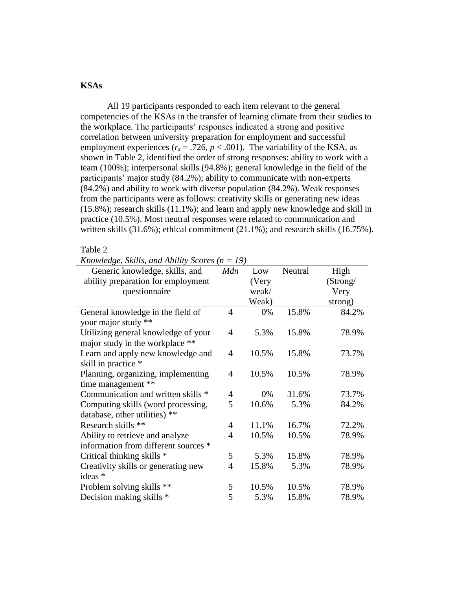# **KSAs**

All 19 participants responded to each item relevant to the general competencies of the KSAs in the transfer of learning climate from their studies to the workplace. The participants' responses indicated a strong and positive correlation between university preparation for employment and successful employment experiences ( $r_s = .726$ ,  $p < .001$ ). The variability of the KSA, as shown in Table 2, identified the order of strong responses: ability to work with a team (100%); interpersonal skills (94.8%); general knowledge in the field of the participants' major study (84.2%); ability to communicate with non-experts (84.2%) and ability to work with diverse population (84.2%). Weak responses from the participants were as follows: creativity skills or generating new ideas (15.8%); research skills (11.1%); and learn and apply new knowledge and skill in practice (10.5%). Most neutral responses were related to communication and written skills (31.6%); ethical commitment (21.1%); and research skills (16.75%).

### Table 2

*Knowledge, Skills, and Ability Scores (n = 19)*

| Generic knowledge, skills, and       | Mdn | Low   | Neutral | High     |
|--------------------------------------|-----|-------|---------|----------|
| ability preparation for employment   |     | (Very |         | (Strong/ |
| questionnaire                        |     | weak/ |         | Very     |
|                                      |     | Weak) |         | strong)  |
| General knowledge in the field of    | 4   | 0%    | 15.8%   | 84.2%    |
| your major study **                  |     |       |         |          |
| Utilizing general knowledge of your  | 4   | 5.3%  | 15.8%   | 78.9%    |
| major study in the workplace **      |     |       |         |          |
| Learn and apply new knowledge and    | 4   | 10.5% | 15.8%   | 73.7%    |
| skill in practice *                  |     |       |         |          |
| Planning, organizing, implementing   | 4   | 10.5% | 10.5%   | 78.9%    |
| time management **                   |     |       |         |          |
| Communication and written skills *   | 4   | 0%    | 31.6%   | 73.7%    |
| Computing skills (word processing,   | 5   | 10.6% | 5.3%    | 84.2%    |
| database, other utilities) **        |     |       |         |          |
| Research skills **                   | 4   | 11.1% | 16.7%   | 72.2%    |
| Ability to retrieve and analyze      | 4   | 10.5% | 10.5%   | 78.9%    |
| information from different sources * |     |       |         |          |
| Critical thinking skills *           | 5   | 5.3%  | 15.8%   | 78.9%    |
| Creativity skills or generating new  | 4   | 15.8% | 5.3%    | 78.9%    |
| ideas *                              |     |       |         |          |
| Problem solving skills **            | 5   | 10.5% | 10.5%   | 78.9%    |
| Decision making skills *             | 5   | 5.3%  | 15.8%   | 78.9%    |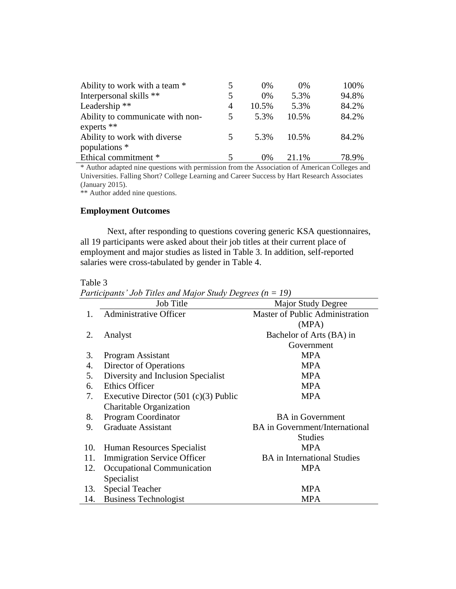| Ability to work with a team *    |   | $0\%$ | 0%    | 100%  |
|----------------------------------|---|-------|-------|-------|
| Interpersonal skills **          | 5 | $0\%$ | 5.3%  | 94.8% |
| Leadership <sup>**</sup>         | 4 | 10.5% | 5.3%  | 84.2% |
| Ability to communicate with non- | 5 | 5.3%  | 10.5% | 84.2% |
| experts $**$                     |   |       |       |       |
| Ability to work with diverse     |   | 5.3%  | 10.5% | 84.2% |
| populations *                    |   |       |       |       |
| Ethical commitment *             |   | $0\%$ | 21.1% | 78.9% |

\* Author adapted nine questions with permission from the Association of American Colleges and Universities. Falling Short? College Learning and Career Success by Hart Research Associates (January 2015).

\*\* Author added nine questions.

# **Employment Outcomes**

Next, after responding to questions covering generic KSA questionnaires, all 19 participants were asked about their job titles at their current place of employment and major studies as listed in Table 3. In addition, self-reported salaries were cross-tabulated by gender in Table 4.

## Table 3

à.

*Participants' Job Titles and Major Study Degrees (n = 19)*

|     | <b>Job Title</b>                        | Major Study Degree                    |
|-----|-----------------------------------------|---------------------------------------|
| 1.  | <b>Administrative Officer</b>           | Master of Public Administration       |
|     |                                         | (MPA)                                 |
| 2.  | Analyst                                 | Bachelor of Arts (BA) in              |
|     |                                         | Government                            |
| 3.  | Program Assistant                       | <b>MPA</b>                            |
| 4.  | Director of Operations                  | <b>MPA</b>                            |
| 5.  | Diversity and Inclusion Specialist      | <b>MPA</b>                            |
| 6.  | <b>Ethics Officer</b>                   | <b>MPA</b>                            |
| 7.  | Executive Director $(501 (c)(3)$ Public | <b>MPA</b>                            |
|     | Charitable Organization                 |                                       |
| 8.  | <b>Program Coordinator</b>              | <b>BA</b> in Government               |
| 9.  | <b>Graduate Assistant</b>               | <b>BA</b> in Government/International |
|     |                                         | <b>Studies</b>                        |
| 10. | Human Resources Specialist              | <b>MPA</b>                            |
| 11. | <b>Immigration Service Officer</b>      | <b>BA</b> in International Studies    |
| 12. | Occupational Communication              | <b>MPA</b>                            |
|     | Specialist                              |                                       |
| 13. | <b>Special Teacher</b>                  | <b>MPA</b>                            |
| 14. | <b>Business Technologist</b>            | <b>MPA</b>                            |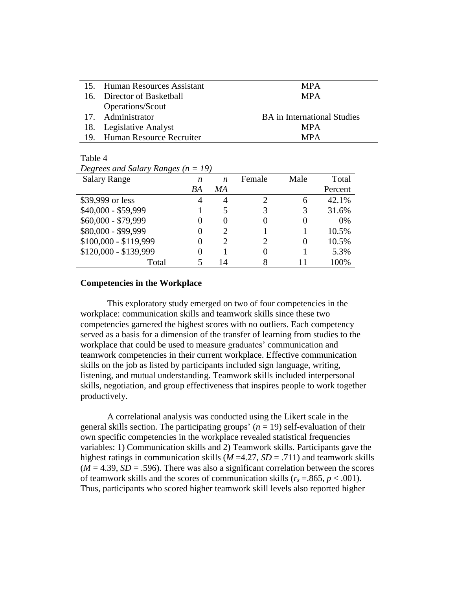| 15. Human Resources Assistant | <b>MPA</b>                         |
|-------------------------------|------------------------------------|
| 16. Director of Basketball    | <b>MPA</b>                         |
| Operations/Scout              |                                    |
| 17. Administrator             | <b>BA</b> in International Studies |
| 18. Legislative Analyst       | <b>MPA</b>                         |
| 19. Human Resource Recruiter  | <b>MPA</b>                         |

### Table 4

| Degrees and Salary Ranges ( $n = 19$ ) |
|----------------------------------------|
|----------------------------------------|

| <b>Salary Range</b>   | n  | n             | Female | Male | Total   |
|-----------------------|----|---------------|--------|------|---------|
|                       | BA | MA            |        |      | Percent |
| \$39,999 or less      | 4  | 4             | 2      | 6    | 42.1%   |
| \$40,000 - \$59,999   |    | 5             | 3      |      | 31.6%   |
| \$60,000 - \$79,999   |    |               | 0      |      | 0%      |
| \$80,000 - \$99,999   |    |               |        |      | 10.5%   |
| $$100,000 - $119,999$ |    | $\mathcal{D}$ | 2      |      | 10.5%   |
| \$120,000 - \$139,999 |    |               | 0      |      | 5.3%    |
| Total                 |    | 14            |        |      | 100%    |

### **Competencies in the Workplace**

This exploratory study emerged on two of four competencies in the workplace: communication skills and teamwork skills since these two competencies garnered the highest scores with no outliers. Each competency served as a basis for a dimension of the transfer of learning from studies to the workplace that could be used to measure graduates' communication and teamwork competencies in their current workplace. Effective communication skills on the job as listed by participants included sign language, writing, listening, and mutual understanding. Teamwork skills included interpersonal skills, negotiation, and group effectiveness that inspires people to work together productively.

A correlational analysis was conducted using the Likert scale in the general skills section. The participating groups'  $(n = 19)$  self-evaluation of their own specific competencies in the workplace revealed statistical frequencies variables: 1) Communication skills and 2) Teamwork skills. Participants gave the highest ratings in communication skills (*M* =4.27, *SD* = .711) and teamwork skills  $(M = 4.39, SD = .596)$ . There was also a significant correlation between the scores of teamwork skills and the scores of communication skills ( $r_s = 0.865$ ,  $p < 0.001$ ). Thus, participants who scored higher teamwork skill levels also reported higher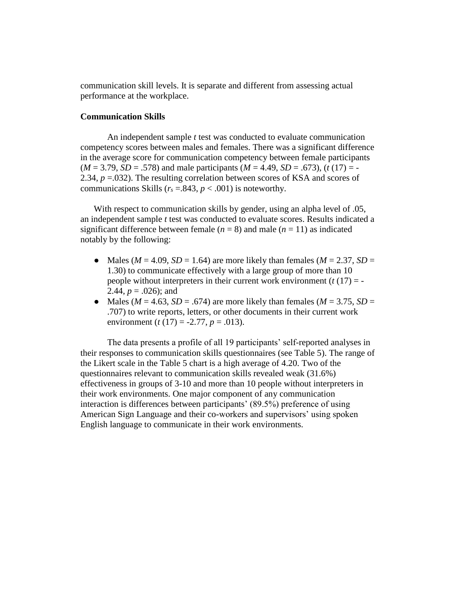communication skill levels. It is separate and different from assessing actual performance at the workplace.

### **Communication Skills**

An independent sample *t* test was conducted to evaluate communication competency scores between males and females. There was a significant difference in the average score for communication competency between female participants  $(M = 3.79, SD = .578)$  and male participants  $(M = 4.49, SD = .673)$ ,  $(t(17) = -$ 2.34,  $p = 0.032$ ). The resulting correlation between scores of KSA and scores of communications Skills ( $r_s = .843$ ,  $p < .001$ ) is noteworthy.

With respect to communication skills by gender, using an alpha level of .05, an independent sample *t* test was conducted to evaluate scores. Results indicated a significant difference between female  $(n = 8)$  and male  $(n = 11)$  as indicated notably by the following:

- Males ( $M = 4.09$ ,  $SD = 1.64$ ) are more likely than females ( $M = 2.37$ ,  $SD =$ 1.30) to communicate effectively with a large group of more than 10 people without interpreters in their current work environment  $(t(17) = -$ 2.44,  $p = .026$ ; and
- Males ( $M = 4.63$ ,  $SD = .674$ ) are more likely than females ( $M = 3.75$ ,  $SD =$ .707) to write reports, letters, or other documents in their current work environment (*t* (17) = -2.77, *p* = .013).

The data presents a profile of all 19 participants' self-reported analyses in their responses to communication skills questionnaires (see Table 5). The range of the Likert scale in the Table 5 chart is a high average of 4.20. Two of the questionnaires relevant to communication skills revealed weak (31.6%) effectiveness in groups of 3-10 and more than 10 people without interpreters in their work environments. One major component of any communication interaction is differences between participants' (89.5%) preference of using American Sign Language and their co-workers and supervisors' using spoken English language to communicate in their work environments.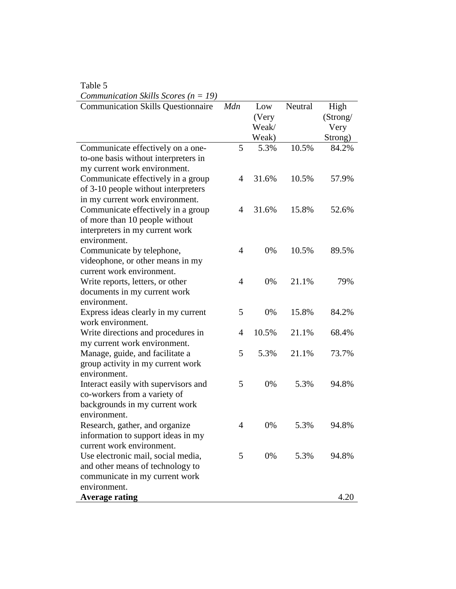| Table 5                                           |                |                       |         |                          |
|---------------------------------------------------|----------------|-----------------------|---------|--------------------------|
| <i>Communication Skills Scores</i> ( $n = 19$ )   |                |                       |         |                          |
| <b>Communication Skills Questionnaire</b>         | Mdn            | Low<br>(Very<br>Weak/ | Neutral | High<br>(Strong/<br>Very |
|                                                   |                | Weak)                 |         | Strong)                  |
| Communicate effectively on a one-                 | 5              | 5.3%                  | 10.5%   | 84.2%                    |
| to-one basis without interpreters in              |                |                       |         |                          |
| my current work environment.                      |                |                       |         |                          |
| Communicate effectively in a group                | 4              | 31.6%                 | 10.5%   | 57.9%                    |
| of 3-10 people without interpreters               |                |                       |         |                          |
| in my current work environment.                   |                |                       |         |                          |
| Communicate effectively in a group                | 4              | 31.6%                 | 15.8%   | 52.6%                    |
| of more than 10 people without                    |                |                       |         |                          |
| interpreters in my current work                   |                |                       |         |                          |
| environment.                                      |                |                       |         |                          |
| Communicate by telephone,                         | 4              | 0%                    | 10.5%   | 89.5%                    |
| videophone, or other means in my                  |                |                       |         |                          |
| current work environment.                         |                |                       |         |                          |
| Write reports, letters, or other                  | $\overline{4}$ | 0%                    | 21.1%   | 79%                      |
| documents in my current work                      |                |                       |         |                          |
| environment.                                      |                |                       |         |                          |
| Express ideas clearly in my current               | 5              | 0%                    | 15.8%   | 84.2%                    |
| work environment.                                 |                |                       |         |                          |
| Write directions and procedures in                | 4              | 10.5%                 | 21.1%   | 68.4%                    |
| my current work environment.                      | 5              | 5.3%                  | 21.1%   |                          |
| Manage, guide, and facilitate a                   |                |                       |         | 73.7%                    |
| group activity in my current work<br>environment. |                |                       |         |                          |
| Interact easily with supervisors and              | 5              | 0%                    | 5.3%    | 94.8%                    |
| co-workers from a variety of                      |                |                       |         |                          |
| backgrounds in my current work                    |                |                       |         |                          |
| environment.                                      |                |                       |         |                          |
| Research, gather, and organize                    | 4              | 0%                    | 5.3%    | 94.8%                    |
| information to support ideas in my                |                |                       |         |                          |
| current work environment.                         |                |                       |         |                          |
| Use electronic mail, social media,                | 5              | 0%                    | 5.3%    | 94.8%                    |
| and other means of technology to                  |                |                       |         |                          |
| communicate in my current work                    |                |                       |         |                          |
| environment.                                      |                |                       |         |                          |
| <b>Average rating</b>                             |                |                       |         | 4.20                     |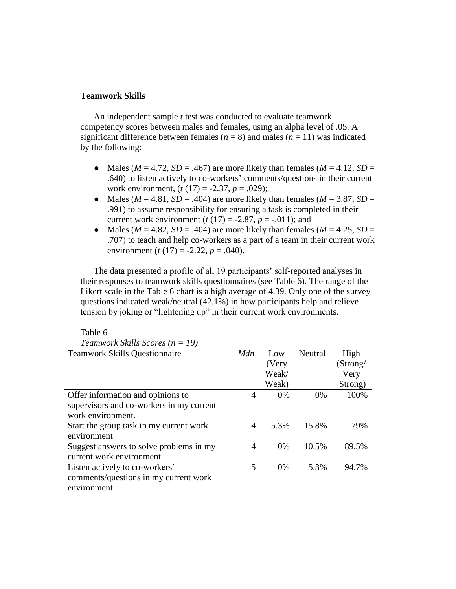## **Teamwork Skills**

Table 6

An independent sample *t* test was conducted to evaluate teamwork competency scores between males and females, using an alpha level of .05. A significant difference between females ( $n = 8$ ) and males ( $n = 11$ ) was indicated by the following:

- Males ( $M = 4.72$ ,  $SD = .467$ ) are more likely than females ( $M = 4.12$ ,  $SD =$ .640) to listen actively to co-workers' comments/questions in their current work environment, (*t* (17) = -2.37, *p* = .029);
- Males ( $M = 4.81$ ,  $SD = .404$ ) are more likely than females ( $M = 3.87$ ,  $SD =$ .991) to assume responsibility for ensuring a task is completed in their current work environment  $(t(17) = -2.87, p = -.011)$ ; and
- Males ( $M = 4.82$ ,  $SD = .404$ ) are more likely than females ( $M = 4.25$ ,  $SD =$ .707) to teach and help co-workers as a part of a team in their current work environment (*t* (17) = -2.22, *p* = .040).

The data presented a profile of all 19 participants' self-reported analyses in their responses to teamwork skills questionnaires (see Table 6). The range of the Likert scale in the Table 6 chart is a high average of 4.39. Only one of the survey questions indicated weak/neutral (42.1%) in how participants help and relieve tension by joking or "lightening up" in their current work environments.

| Teamwork Skills Scores ( $n = 19$ )      |     |       |         |          |
|------------------------------------------|-----|-------|---------|----------|
| <b>Teamwork Skills Questionnaire</b>     | Mdn | Low   | Neutral | High     |
|                                          |     | (Very |         | (Strong/ |
|                                          |     | Weak/ |         | Very     |
|                                          |     | Weak) |         | Strong)  |
| Offer information and opinions to        | 4   | 0%    | 0%      | 100%     |
| supervisors and co-workers in my current |     |       |         |          |
| work environment.                        |     |       |         |          |
| Start the group task in my current work  | 4   | 5.3%  | 15.8%   | 79%      |
| environment                              |     |       |         |          |
| Suggest answers to solve problems in my  | 4   | $0\%$ | 10.5%   | 89.5%    |
| current work environment.                |     |       |         |          |
| Listen actively to co-workers'           | 5   | $0\%$ | 5.3%    | 94.7%    |
| comments/questions in my current work    |     |       |         |          |
| environment.                             |     |       |         |          |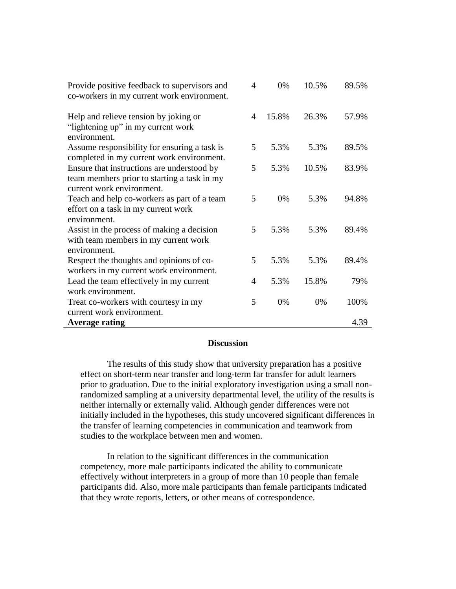| Provide positive feedback to supervisors and<br>co-workers in my current work environment.                             | 4 | 0%    | 10.5% | 89.5% |
|------------------------------------------------------------------------------------------------------------------------|---|-------|-------|-------|
| Help and relieve tension by joking or<br>"lightening up" in my current work<br>environment.                            | 4 | 15.8% | 26.3% | 57.9% |
| Assume responsibility for ensuring a task is<br>completed in my current work environment.                              | 5 | 5.3%  | 5.3%  | 89.5% |
| Ensure that instructions are understood by<br>team members prior to starting a task in my<br>current work environment. | 5 | 5.3%  | 10.5% | 83.9% |
| Teach and help co-workers as part of a team<br>effort on a task in my current work<br>environment.                     | 5 | 0%    | 5.3%  | 94.8% |
| Assist in the process of making a decision<br>with team members in my current work<br>environment.                     | 5 | 5.3%  | 5.3%  | 89.4% |
| Respect the thoughts and opinions of co-<br>workers in my current work environment.                                    | 5 | 5.3%  | 5.3%  | 89.4% |
| Lead the team effectively in my current<br>work environment.                                                           | 4 | 5.3%  | 15.8% | 79%   |
| Treat co-workers with courtesy in my<br>current work environment.                                                      | 5 | 0%    | 0%    | 100%  |
| <b>Average rating</b>                                                                                                  |   |       |       | 4.39  |

### **Discussion**

The results of this study show that university preparation has a positive effect on short-term near transfer and long-term far transfer for adult learners prior to graduation. Due to the initial exploratory investigation using a small nonrandomized sampling at a university departmental level, the utility of the results is neither internally or externally valid. Although gender differences were not initially included in the hypotheses, this study uncovered significant differences in the transfer of learning competencies in communication and teamwork from studies to the workplace between men and women.

In relation to the significant differences in the communication competency, more male participants indicated the ability to communicate effectively without interpreters in a group of more than 10 people than female participants did. Also, more male participants than female participants indicated that they wrote reports, letters, or other means of correspondence.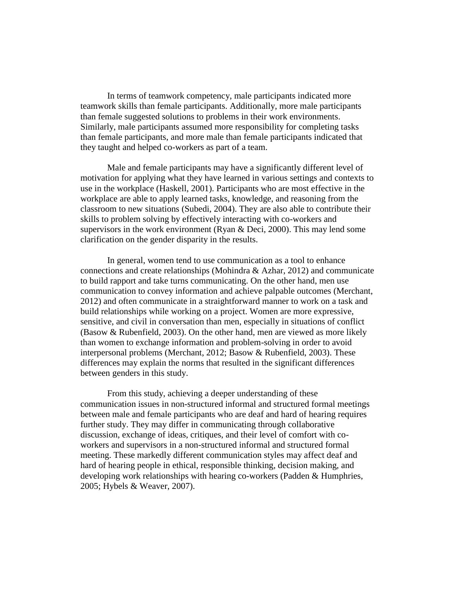In terms of teamwork competency, male participants indicated more teamwork skills than female participants. Additionally, more male participants than female suggested solutions to problems in their work environments. Similarly, male participants assumed more responsibility for completing tasks than female participants, and more male than female participants indicated that they taught and helped co-workers as part of a team.

Male and female participants may have a significantly different level of motivation for applying what they have learned in various settings and contexts to use in the workplace (Haskell, 2001). Participants who are most effective in the workplace are able to apply learned tasks, knowledge, and reasoning from the classroom to new situations (Subedi, 2004). They are also able to contribute their skills to problem solving by effectively interacting with co-workers and supervisors in the work environment (Ryan & Deci, 2000). This may lend some clarification on the gender disparity in the results.

In general, women tend to use communication as a tool to enhance connections and create relationships (Mohindra & Azhar, 2012) and communicate to build rapport and take turns communicating. On the other hand, men use communication to convey information and achieve palpable outcomes (Merchant, 2012) and often communicate in a straightforward manner to work on a task and build relationships while working on a project. Women are more expressive, sensitive, and civil in conversation than men, especially in situations of conflict (Basow & Rubenfield, 2003). On the other hand, men are viewed as more likely than women to exchange information and problem-solving in order to avoid interpersonal problems (Merchant, 2012; Basow & Rubenfield, 2003). These differences may explain the norms that resulted in the significant differences between genders in this study.

From this study, achieving a deeper understanding of these communication issues in non-structured informal and structured formal meetings between male and female participants who are deaf and hard of hearing requires further study. They may differ in communicating through collaborative discussion, exchange of ideas, critiques, and their level of comfort with coworkers and supervisors in a non-structured informal and structured formal meeting. These markedly different communication styles may affect deaf and hard of hearing people in ethical, responsible thinking, decision making, and developing work relationships with hearing co-workers (Padden & Humphries, 2005; Hybels & Weaver, 2007).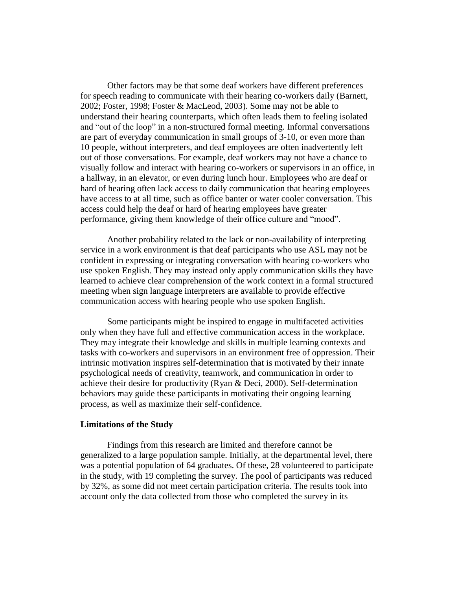Other factors may be that some deaf workers have different preferences for speech reading to communicate with their hearing co-workers daily (Barnett, 2002; Foster, 1998; Foster & MacLeod, 2003). Some may not be able to understand their hearing counterparts, which often leads them to feeling isolated and "out of the loop" in a non-structured formal meeting. Informal conversations are part of everyday communication in small groups of 3-10, or even more than 10 people, without interpreters, and deaf employees are often inadvertently left out of those conversations. For example, deaf workers may not have a chance to visually follow and interact with hearing co-workers or supervisors in an office, in a hallway, in an elevator, or even during lunch hour. Employees who are deaf or hard of hearing often lack access to daily communication that hearing employees have access to at all time, such as office banter or water cooler conversation. This access could help the deaf or hard of hearing employees have greater performance, giving them knowledge of their office culture and "mood".

Another probability related to the lack or non-availability of interpreting service in a work environment is that deaf participants who use ASL may not be confident in expressing or integrating conversation with hearing co-workers who use spoken English. They may instead only apply communication skills they have learned to achieve clear comprehension of the work context in a formal structured meeting when sign language interpreters are available to provide effective communication access with hearing people who use spoken English.

Some participants might be inspired to engage in multifaceted activities only when they have full and effective communication access in the workplace. They may integrate their knowledge and skills in multiple learning contexts and tasks with co-workers and supervisors in an environment free of oppression. Their intrinsic motivation inspires self-determination that is motivated by their innate psychological needs of creativity, teamwork, and communication in order to achieve their desire for productivity (Ryan & Deci, 2000). Self-determination behaviors may guide these participants in motivating their ongoing learning process, as well as maximize their self-confidence.

#### **Limitations of the Study**

Findings from this research are limited and therefore cannot be generalized to a large population sample. Initially, at the departmental level, there was a potential population of 64 graduates. Of these, 28 volunteered to participate in the study, with 19 completing the survey. The pool of participants was reduced by 32%, as some did not meet certain participation criteria. The results took into account only the data collected from those who completed the survey in its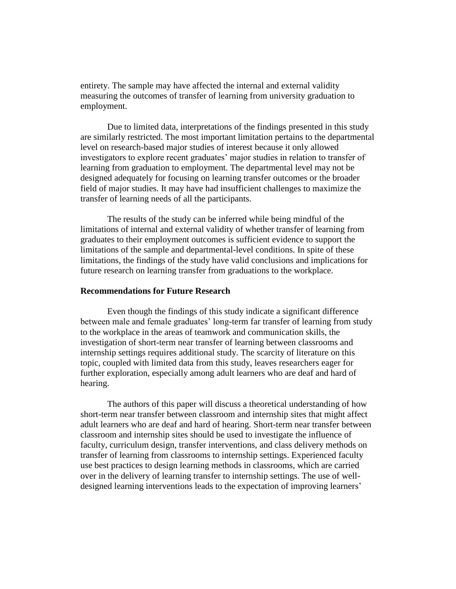entirety. The sample may have affected the internal and external validity measuring the outcomes of transfer of learning from university graduation to employment.

Due to limited data, interpretations of the findings presented in this study are similarly restricted. The most important limitation pertains to the departmental level on research-based major studies of interest because it only allowed investigators to explore recent graduates' major studies in relation to transfer of learning from graduation to employment. The departmental level may not be designed adequately for focusing on learning transfer outcomes or the broader field of major studies. It may have had insufficient challenges to maximize the transfer of learning needs of all the participants.

The results of the study can be inferred while being mindful of the limitations of internal and external validity of whether transfer of learning from graduates to their employment outcomes is sufficient evidence to support the limitations of the sample and departmental-level conditions. In spite of these limitations, the findings of the study have valid conclusions and implications for future research on learning transfer from graduations to the workplace.

### **Recommendations for Future Research**

Even though the findings of this study indicate a significant difference between male and female graduates' long-term far transfer of learning from study to the workplace in the areas of teamwork and communication skills, the investigation of short-term near transfer of learning between classrooms and internship settings requires additional study. The scarcity of literature on this topic, coupled with limited data from this study, leaves researchers eager for further exploration, especially among adult learners who are deaf and hard of hearing.

The authors of this paper will discuss a theoretical understanding of how short-term near transfer between classroom and internship sites that might affect adult learners who are deaf and hard of hearing. Short-term near transfer between classroom and internship sites should be used to investigate the influence of faculty, curriculum design, transfer interventions, and class delivery methods on transfer of learning from classrooms to internship settings. Experienced faculty use best practices to design learning methods in classrooms, which are carried over in the delivery of learning transfer to internship settings. The use of welldesigned learning interventions leads to the expectation of improving learners'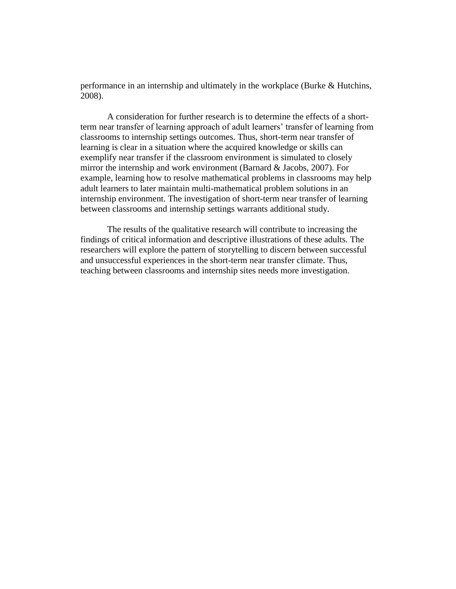performance in an internship and ultimately in the workplace (Burke & Hutchins, 2008).

A consideration for further research is to determine the effects of a shortterm near transfer of learning approach of adult learners' transfer of learning from classrooms to internship settings outcomes. Thus, short-term near transfer of learning is clear in a situation where the acquired knowledge or skills can exemplify near transfer if the classroom environment is simulated to closely mirror the internship and work environment (Barnard & Jacobs, 2007). For example, learning how to resolve mathematical problems in classrooms may help adult learners to later maintain multi-mathematical problem solutions in an internship environment. The investigation of short-term near transfer of learning between classrooms and internship settings warrants additional study.

The results of the qualitative research will contribute to increasing the findings of critical information and descriptive illustrations of these adults. The researchers will explore the pattern of storytelling to discern between successful and unsuccessful experiences in the short-term near transfer climate. Thus, teaching between classrooms and internship sites needs more investigation.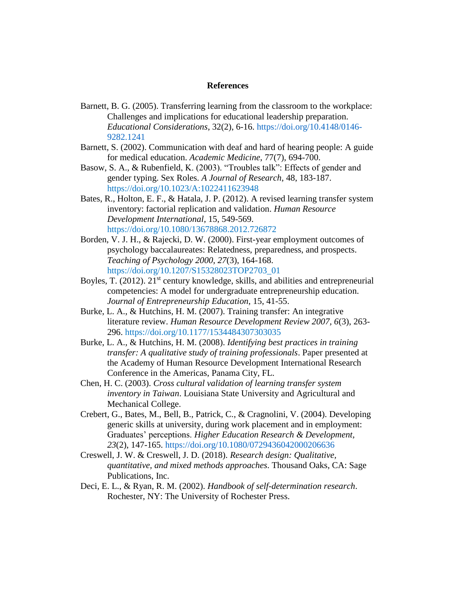### **References**

- Barnett, B. G. (2005). Transferring learning from the classroom to the workplace: Challenges and implications for educational leadership preparation. *Educational Considerations*, 32(2), 6-16. [https://doi.org/10.4148/0146-](https://doi.org/10.4148/0146-9282.1241) [9282.1241](https://doi.org/10.4148/0146-9282.1241)
- Barnett, S. (2002). Communication with deaf and hard of hearing people: A guide for medical education. *Academic Medicine*, 77(7), 694-700.
- Basow, S. A., & Rubenfield, K. (2003). "Troubles talk": Effects of gender and gender typing. Sex Roles. *A Journal of Research*, 48, 183-187. <https://doi.org/10.1023/A:1022411623948>
- Bates, R., Holton, E. F., & Hatala, J. P. (2012). A revised learning transfer system inventory: factorial replication and validation. *Human Resource Development International*, 15, 549-569. <https://doi.org/10.1080/13678868.2012.726872>
- Borden, V. J. H., & Rajecki, D. W. (2000). First-year employment outcomes of psychology baccalaureates: Relatedness, preparedness, and prospects. *Teaching of Psychology 2000, 27*(3), 164-168. [https://doi.org/10.1207/S15328023TOP2703\\_01](https://doi.org/10.1207/S15328023TOP2703_01)
- Boyles, T. (2012).  $21^{st}$  century knowledge, skills, and abilities and entrepreneurial competencies: A model for undergraduate entrepreneurship education. *Journal of Entrepreneurship Education*, 15, 41-55.
- Burke, L. A., & Hutchins, H. M. (2007). Training transfer: An integrative literature review. *Human Resource Development Review 2007, 6*(3), 263- 296.<https://doi.org/10.1177/1534484307303035>
- Burke, L. A., & Hutchins, H. M. (2008). *Identifying best practices in training transfer: A qualitative study of training professionals*. Paper presented at the Academy of Human Resource Development International Research Conference in the Americas, Panama City, FL.
- Chen, H. C. (2003). *Cross cultural validation of learning transfer system inventory in Taiwan*. Louisiana State University and Agricultural and Mechanical College.
- Crebert, G., Bates, M., Bell, B., Patrick, C., & Cragnolini, V. (2004). Developing generic skills at university, during work placement and in employment: Graduates' perceptions. *Higher Education Research & Development, 23*(2), 147-165.<https://doi.org/10.1080/0729436042000206636>
- Creswell, J. W. & Creswell, J. D. (2018). *Research design: Qualitative, quantitative, and mixed methods approaches*. Thousand Oaks, CA: Sage Publications, Inc.
- Deci, E. L., & Ryan, R. M. (2002). *Handbook of self-determination research*. Rochester, NY: The University of Rochester Press.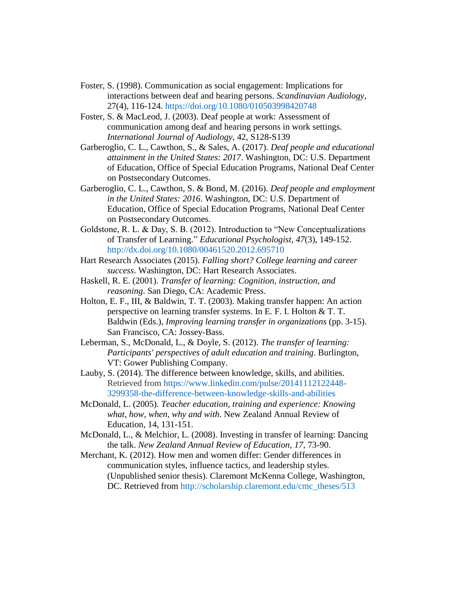- Foster, S. (1998). Communication as social engagement: Implications for interactions between deaf and hearing persons. *Scandinavian Audiology*, 27(4), 116-124.<https://doi.org/10.1080/010503998420748>
- Foster, S. & MacLeod, J. (2003). Deaf people at work: Assessment of communication among deaf and hearing persons in work settings. *International Journal of Audiology*, 42, S128-S139
- Garberoglio, C. L., Cawthon, S., & Sales, A. (2017). *Deaf people and educational attainment in the United States: 2017*. Washington, DC: U.S. Department of Education, Office of Special Education Programs, National Deaf Center on Postsecondary Outcomes.
- Garberoglio, C. L., Cawthon, S. & Bond, M. (2016). *Deaf people and employment in the United States: 2016*. Washington, DC: U.S. Department of Education, Office of Special Education Programs, National Deaf Center on Postsecondary Outcomes.
- Goldstone, R. L. & Day, S. B. (2012). Introduction to "New Conceptualizations of Transfer of Learning." *Educational Psychologist*, *47*(3), 149-152. <http://dx.doi.org/10.1080/00461520.2012.695710>
- Hart Research Associates (2015). *Falling short? College learning and career success*. Washington, DC: Hart Research Associates.
- Haskell, R. E. (2001). *Transfer of learning: Cognition, instruction, and reasoning*. San Diego, CA: Academic Press.
- Holton, E. F., III, & Baldwin, T. T. (2003). Making transfer happen: An action perspective on learning transfer systems. In E. F. I. Holton & T. T. Baldwin (Eds.), *Improving learning transfer in organizations* (pp. 3-15). San Francisco, CA: Jossey-Bass.
- Leberman, S., McDonald, L., & Doyle, S. (2012). *The transfer of learning: Participants' perspectives of adult education and training*. Burlington, VT: Gower Publishing Company.
- Lauby, S. (2014). The difference between knowledge, skills, and abilities. Retrieved from [https://www.linkedin.com/pulse/20141112122448-](https://www.linkedin.com/pulse/20141112122448-3299358-the-difference-between-knowledge-skills-and-abilities) [3299358-the-difference-between-knowledge-skills-and-abilities](https://www.linkedin.com/pulse/20141112122448-3299358-the-difference-between-knowledge-skills-and-abilities)
- McDonald, L. (2005). *Teacher education, training and experience: Knowing what, how, when, why and with*. New Zealand Annual Review of Education, 14, 131-151.
- McDonald, L., & Melchior, L. (2008). Investing in transfer of learning: Dancing the talk. *New Zealand Annual Review of Education*, *17*, 73-90.
- Merchant, K. (2012). How men and women differ: Gender differences in communication styles, influence tactics, and leadership styles. (Unpublished senior thesis). Claremont McKenna College, Washington, DC. Retrieved from [http://scholarship.claremont.edu/cmc\\_theses/513](http://scholarship.claremont.edu/cmc_theses/513)